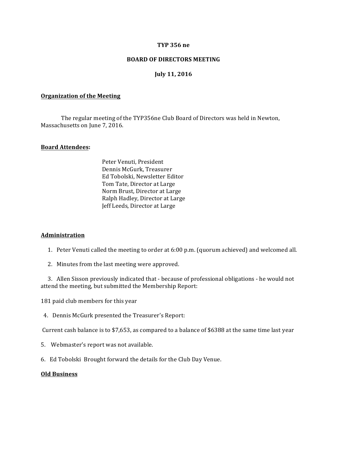### **TYP 356 ne**

### **BOARD OF DIRECTORS MEETING**

# **July 11, 2016**

#### **Organization of the Meeting**

The regular meeting of the TYP356ne Club Board of Directors was held in Newton, Massachusetts on June 7, 2016.

## **Board Attendees:**

Peter Venuti, President Dennis McGurk, Treasurer Ed Tobolski, Newsletter Editor Tom Tate, Director at Large Norm Brust, Director at Large Ralph Hadley, Director at Large Jeff Leeds, Director at Large

#### **Administration**

- 1. Peter Venuti called the meeting to order at  $6:00$  p.m. (quorum achieved) and welcomed all.
- 2. Minutes from the last meeting were approved.

3. Allen Sisson previously indicated that - because of professional obligations - he would not attend the meeting, but submitted the Membership Report:

181 paid club members for this year

4. Dennis McGurk presented the Treasurer's Report:

Current cash balance is to \$7,653, as compared to a balance of \$6388 at the same time last year

- 5. Webmaster's report was not available.
- 6. Ed Tobolski Brought forward the details for the Club Day Venue.

## **Old Business**